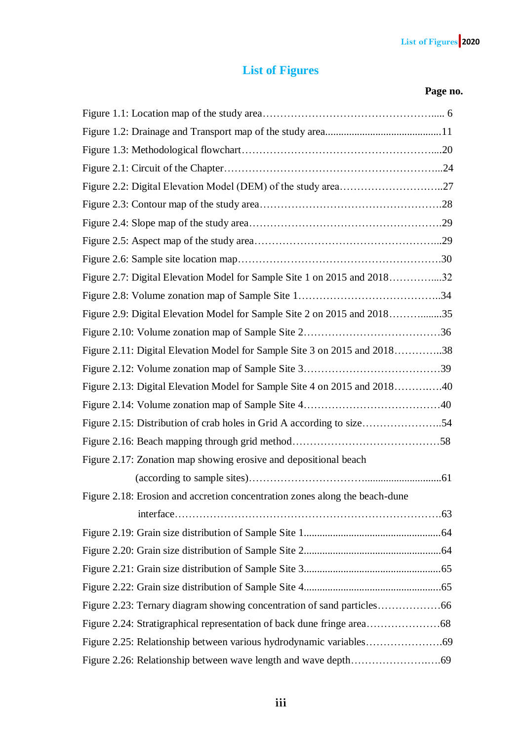## **List of Figures**

## **Page no.**

| Figure 2.2: Digital Elevation Model (DEM) of the study area27               |
|-----------------------------------------------------------------------------|
|                                                                             |
|                                                                             |
|                                                                             |
|                                                                             |
| Figure 2.7: Digital Elevation Model for Sample Site 1 on 2015 and 201832    |
|                                                                             |
| Figure 2.9: Digital Elevation Model for Sample Site 2 on 2015 and 201835    |
|                                                                             |
| Figure 2.11: Digital Elevation Model for Sample Site 3 on 2015 and 201838   |
|                                                                             |
| Figure 2.13: Digital Elevation Model for Sample Site 4 on 2015 and 201840   |
|                                                                             |
| Figure 2.15: Distribution of crab holes in Grid A according to size54       |
|                                                                             |
| Figure 2.17: Zonation map showing erosive and depositional beach            |
|                                                                             |
| Figure 2.18: Erosion and accretion concentration zones along the beach-dune |
|                                                                             |
|                                                                             |
|                                                                             |
|                                                                             |
|                                                                             |
|                                                                             |
|                                                                             |
|                                                                             |
|                                                                             |